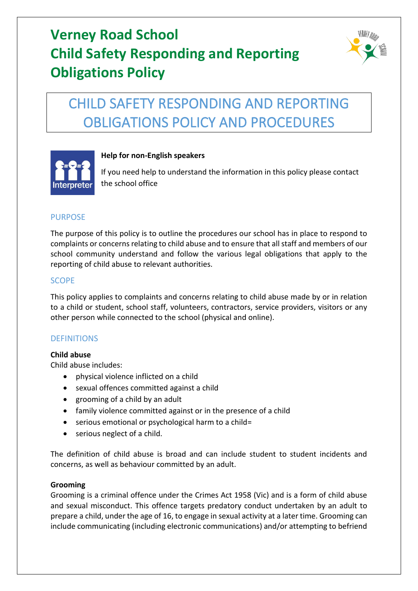

# CHILD SAFETY RESPONDING AND REPORTING OBLIGATIONS POLICY AND PROCEDURES



# **Help for non-English speakers**

If you need help to understand the information in this policy please contact the school office

## PURPOSE

The purpose of this policy is to outline the procedures our school has in place to respond to complaints or concerns relating to child abuse and to ensure that all staff and members of our school community understand and follow the various legal obligations that apply to the reporting of child abuse to relevant authorities.

## **SCOPE**

This policy applies to complaints and concerns relating to child abuse made by or in relation to a child or student, school staff, volunteers, contractors, service providers, visitors or any other person while connected to the school (physical and online).

## **DEFINITIONS**

## **Child abuse**

Child abuse includes:

- physical violence inflicted on a child
- sexual offences committed against a child
- grooming of a child by an adult
- family violence committed against or in the presence of a child
- serious emotional or psychological harm to a child=
- serious neglect of a child.

The definition of child abuse is broad and can include student to student incidents and concerns, as well as behaviour committed by an adult.

## **Grooming**

Grooming is a criminal offence under the Crimes Act 1958 (Vic) and is a form of child abuse and sexual misconduct. This offence targets predatory conduct undertaken by an adult to prepare a child, under the age of 16, to engage in sexual activity at a later time. Grooming can include communicating (including electronic communications) and/or attempting to befriend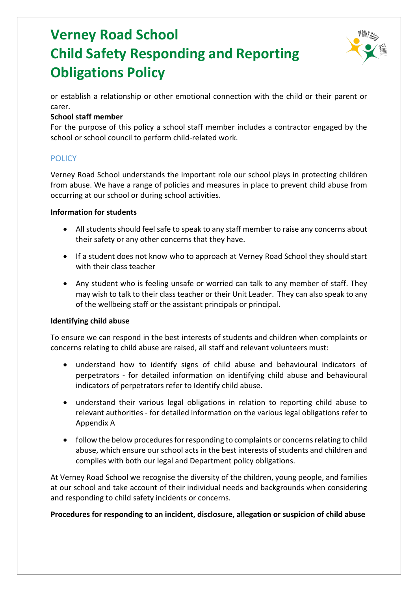

or establish a relationship or other emotional connection with the child or their parent or carer.

## **School staff member**

For the purpose of this policy a school staff member includes a contractor engaged by the school or school council to perform child-related work.

# **POLICY**

Verney Road School understands the important role our school plays in protecting children from abuse. We have a range of policies and measures in place to prevent child abuse from occurring at our school or during school activities.

#### **Information for students**

- All students should feel safe to speak to any staff member to raise any concerns about their safety or any other concerns that they have.
- If a student does not know who to approach at Verney Road School they should start with their class teacher
- Any student who is feeling unsafe or worried can talk to any member of staff. They may wish to talk to their class teacher or their Unit Leader. They can also speak to any of the wellbeing staff or the assistant principals or principal.

## **Identifying child abuse**

To ensure we can respond in the best interests of students and children when complaints or concerns relating to child abuse are raised, all staff and relevant volunteers must:

- understand how to identify signs of child abuse and behavioural indicators of perpetrators - for detailed information on identifying child abuse and behavioural indicators of perpetrators refer to Identify child abuse.
- understand their various legal obligations in relation to reporting child abuse to relevant authorities - for detailed information on the various legal obligations refer to Appendix A
- follow the below procedures for responding to complaints or concerns relating to child abuse, which ensure our school acts in the best interests of students and children and complies with both our legal and Department policy obligations.

At Verney Road School we recognise the diversity of the children, young people, and families at our school and take account of their individual needs and backgrounds when considering and responding to child safety incidents or concerns.

## **Procedures for responding to an incident, disclosure, allegation or suspicion of child abuse**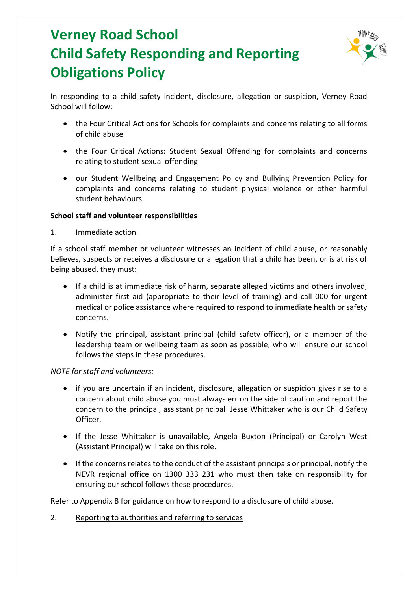

In responding to a child safety incident, disclosure, allegation or suspicion, Verney Road School will follow:

- the Four Critical Actions for Schools for complaints and concerns relating to all forms of child abuse
- the Four Critical Actions: Student Sexual Offending for complaints and concerns relating to student sexual offending
- our Student Wellbeing and Engagement Policy and Bullying Prevention Policy for complaints and concerns relating to student physical violence or other harmful student behaviours.

#### **School staff and volunteer responsibilities**

#### 1. Immediate action

If a school staff member or volunteer witnesses an incident of child abuse, or reasonably believes, suspects or receives a disclosure or allegation that a child has been, or is at risk of being abused, they must:

- If a child is at immediate risk of harm, separate alleged victims and others involved, administer first aid (appropriate to their level of training) and call 000 for urgent medical or police assistance where required to respond to immediate health or safety concerns.
- Notify the principal, assistant principal (child safety officer), or a member of the leadership team or wellbeing team as soon as possible, who will ensure our school follows the steps in these procedures.

#### *NOTE for staff and volunteers:*

- if you are uncertain if an incident, disclosure, allegation or suspicion gives rise to a concern about child abuse you must always err on the side of caution and report the concern to the principal, assistant principal Jesse Whittaker who is our Child Safety Officer.
- If the Jesse Whittaker is unavailable, Angela Buxton (Principal) or Carolyn West (Assistant Principal) will take on this role.
- If the concerns relates to the conduct of the assistant principals or principal, notify the NEVR regional office on 1300 333 231 who must then take on responsibility for ensuring our school follows these procedures.

Refer to Appendix B for guidance on how to respond to a disclosure of child abuse.

2. Reporting to authorities and referring to services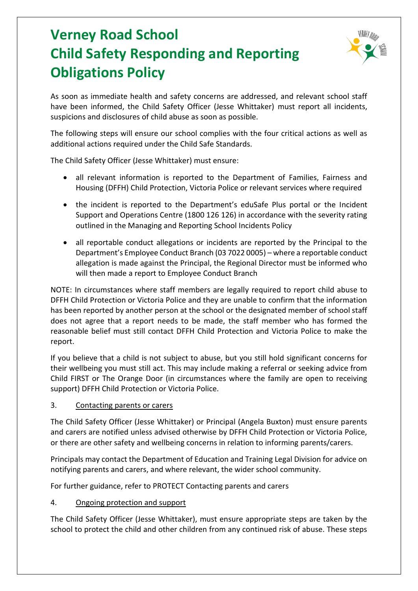

As soon as immediate health and safety concerns are addressed, and relevant school staff have been informed, the Child Safety Officer (Jesse Whittaker) must report all incidents, suspicions and disclosures of child abuse as soon as possible.

The following steps will ensure our school complies with the four critical actions as well as additional actions required under the Child Safe Standards.

The Child Safety Officer (Jesse Whittaker) must ensure:

- all relevant information is reported to the Department of Families, Fairness and Housing (DFFH) Child Protection, Victoria Police or relevant services where required
- the incident is reported to the Department's eduSafe Plus portal or the Incident Support and Operations Centre (1800 126 126) in accordance with the severity rating outlined in the Managing and Reporting School Incidents Policy
- all reportable conduct allegations or incidents are reported by the Principal to the Department's Employee Conduct Branch (03 7022 0005) – where a reportable conduct allegation is made against the Principal, the Regional Director must be informed who will then made a report to Employee Conduct Branch

NOTE: In circumstances where staff members are legally required to report child abuse to DFFH Child Protection or Victoria Police and they are unable to confirm that the information has been reported by another person at the school or the designated member of school staff does not agree that a report needs to be made, the staff member who has formed the reasonable belief must still contact DFFH Child Protection and Victoria Police to make the report.

If you believe that a child is not subject to abuse, but you still hold significant concerns for their wellbeing you must still act. This may include making a referral or seeking advice from Child FIRST or The Orange Door (in circumstances where the family are open to receiving support) DFFH Child Protection or Victoria Police.

## 3. Contacting parents or carers

The Child Safety Officer (Jesse Whittaker) or Principal (Angela Buxton) must ensure parents and carers are notified unless advised otherwise by DFFH Child Protection or Victoria Police, or there are other safety and wellbeing concerns in relation to informing parents/carers.

Principals may contact the Department of Education and Training Legal Division for advice on notifying parents and carers, and where relevant, the wider school community.

For further guidance, refer to PROTECT Contacting parents and carers

## 4. Ongoing protection and support

The Child Safety Officer (Jesse Whittaker), must ensure appropriate steps are taken by the school to protect the child and other children from any continued risk of abuse. These steps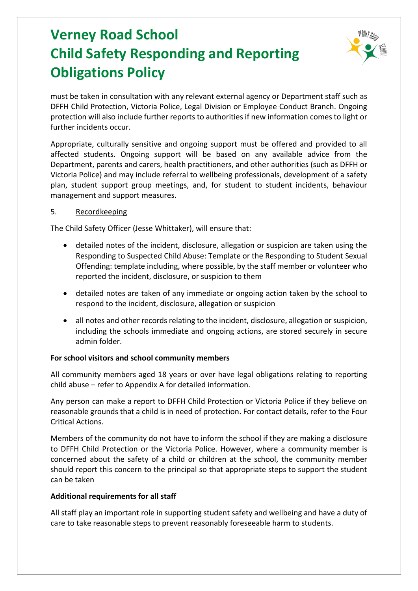

must be taken in consultation with any relevant external agency or Department staff such as DFFH Child Protection, Victoria Police, Legal Division or Employee Conduct Branch. Ongoing protection will also include further reports to authorities if new information comes to light or further incidents occur.

Appropriate, culturally sensitive and ongoing support must be offered and provided to all affected students. Ongoing support will be based on any available advice from the Department, parents and carers, health practitioners, and other authorities (such as DFFH or Victoria Police) and may include referral to wellbeing professionals, development of a safety plan, student support group meetings, and, for student to student incidents, behaviour management and support measures.

#### 5. Recordkeeping

The Child Safety Officer (Jesse Whittaker), will ensure that:

- detailed notes of the incident, disclosure, allegation or suspicion are taken using the Responding to Suspected Child Abuse: Template or the Responding to Student Sexual Offending: template including, where possible, by the staff member or volunteer who reported the incident, disclosure, or suspicion to them
- detailed notes are taken of any immediate or ongoing action taken by the school to respond to the incident, disclosure, allegation or suspicion
- all notes and other records relating to the incident, disclosure, allegation or suspicion, including the schools immediate and ongoing actions, are stored securely in secure admin folder.

## **For school visitors and school community members**

All community members aged 18 years or over have legal obligations relating to reporting child abuse – refer to Appendix A for detailed information.

Any person can make a report to DFFH Child Protection or Victoria Police if they believe on reasonable grounds that a child is in need of protection. For contact details, refer to the Four Critical Actions.

Members of the community do not have to inform the school if they are making a disclosure to DFFH Child Protection or the Victoria Police. However, where a community member is concerned about the safety of a child or children at the school, the community member should report this concern to the principal so that appropriate steps to support the student can be taken

## **Additional requirements for all staff**

All staff play an important role in supporting student safety and wellbeing and have a duty of care to take reasonable steps to prevent reasonably foreseeable harm to students.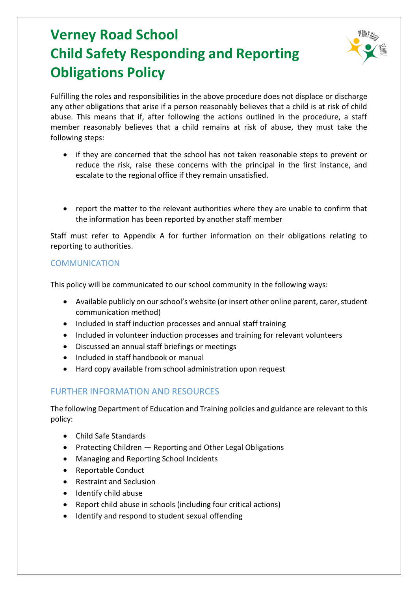

Fulfilling the roles and responsibilities in the above procedure does not displace or discharge any other obligations that arise if a person reasonably believes that a child is at risk of child abuse. This means that if, after following the actions outlined in the procedure, a staff member reasonably believes that a child remains at risk of abuse, they must take the following steps:

- if they are concerned that the school has not taken reasonable steps to prevent or reduce the risk, raise these concerns with the principal in the first instance, and escalate to the regional office if they remain unsatisfied.
- report the matter to the relevant authorities where they are unable to confirm that the information has been reported by another staff member

Staff must refer to Appendix A for further information on their obligations relating to reporting to authorities.

# **COMMUNICATION**

This policy will be communicated to our school community in the following ways:

- Available publicly on our school's website (or insert other online parent, carer, student communication method)
- Included in staff induction processes and annual staff training
- Included in volunteer induction processes and training for relevant volunteers
- Discussed an annual staff briefings or meetings
- Included in staff handbook or manual
- Hard copy available from school administration upon request

# FURTHER INFORMATION AND RESOURCES

The following Department of Education and Training policies and guidance are relevant to this policy:

- Child Safe Standards
- Protecting Children Reporting and Other Legal Obligations
- Managing and Reporting School Incidents
- Reportable Conduct
- Restraint and Seclusion
- Identify child abuse
- Report child abuse in schools (including four critical actions)
- Identify and respond to student sexual offending